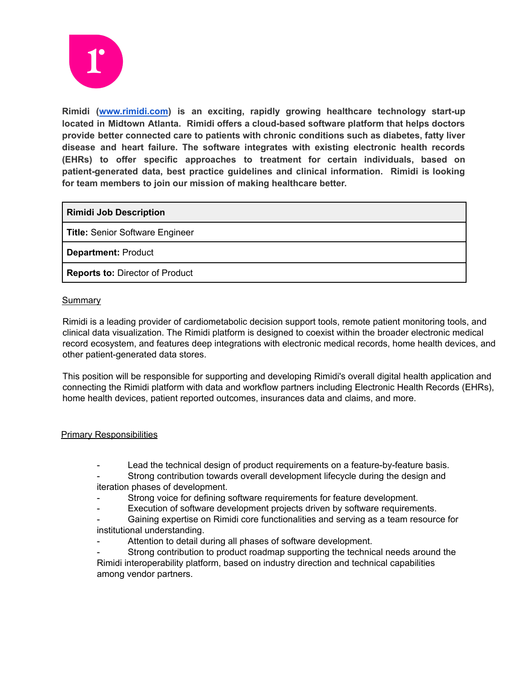

**Rimidi ([www.rimidi.com](http://www.rimidi.com)) is an exciting, rapidly growing healthcare technology start-up located in Midtown Atlanta. Rimidi offers a cloud-based software platform that helps doctors provide better connected care to patients with chronic conditions such as diabetes, fatty liver disease and heart failure. The software integrates with existing electronic health records (EHRs) to offer specific approaches to treatment for certain individuals, based on patient-generated data, best practice guidelines and clinical information. Rimidi is looking for team members to join our mission of making healthcare better.**

## **Rimidi Job Description**

**Title:** Senior Software Engineer

**Department:** Product

**Reports to:** Director of Product

## **Summary**

Rimidi is a leading provider of cardiometabolic decision support tools, remote patient monitoring tools, and clinical data visualization. The Rimidi platform is designed to coexist within the broader electronic medical record ecosystem, and features deep integrations with electronic medical records, home health devices, and other patient-generated data stores.

This position will be responsible for supporting and developing Rimidi's overall digital health application and connecting the Rimidi platform with data and workflow partners including Electronic Health Records (EHRs), home health devices, patient reported outcomes, insurances data and claims, and more.

## Primary Responsibilities

- Lead the technical design of product requirements on a feature-by-feature basis.
- Strong contribution towards overall development lifecycle during the design and iteration phases of development.
- Strong voice for defining software requirements for feature development.
- Execution of software development projects driven by software requirements.
- Gaining expertise on Rimidi core functionalities and serving as a team resource for institutional understanding.
- Attention to detail during all phases of software development.
- Strong contribution to product roadmap supporting the technical needs around the Rimidi interoperability platform, based on industry direction and technical capabilities among vendor partners.